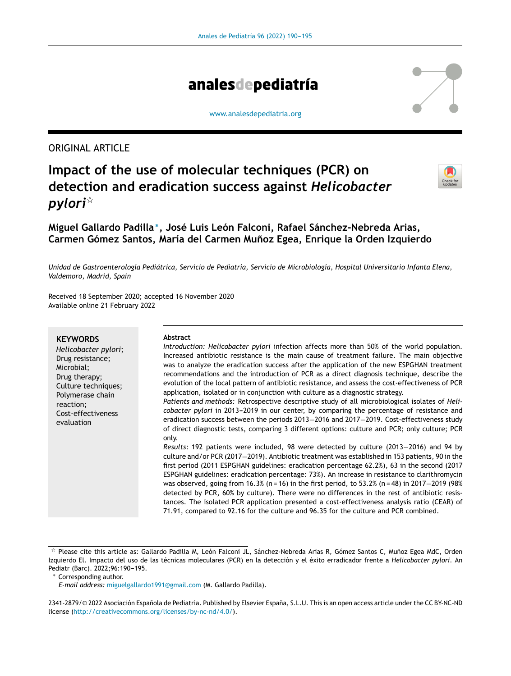

[www.analesdepediatria.org](http://www.analesdepediatria.org)

ORIGINAL ARTICLE

# **Impact of the use of molecular techniques (PCR) on detection and eradication success against** *Helicobacter pylori*-



**Miguel Gallardo Padilla** <sup>∗</sup> **, José Luis León Falconi, Rafael Sánchez-Nebreda Arias, Carmen Gómez Santos, María del Carmen Munoz ˜ Egea, Enrique la Orden Izquierdo**

Unidad de Gastroenterología Pediátrica, Servicio de Pediatría, Servicio de Microbiología, Hospital Universitario Infanta Elena, *Valdemoro, Madrid, Spain*

Received 18 September 2020; accepted 16 November 2020 Available online 21 February 2022

#### **KEYWORDS**

*Helicobacter pylori*; Drug resistance; Microbial; Drug therapy; Culture techniques; Polymerase chain reaction; Cost-effectiveness evaluation

#### **Abstract**

*Introduction: Helicobacter pylori* infection affects more than 50% of the world population. Increased antibiotic resistance is the main cause of treatment failure. The main objective was to analyze the eradication success after the application of the new ESPGHAN treatment recommendations and the introduction of PCR as a direct diagnosis technique, describe the evolution of the local pattern of antibiotic resistance, and assess the cost-effectiveness of PCR application, isolated or in conjunction with culture as a diagnostic strategy. *Patients and methods:* Retrospective descriptive study of all microbiological isolates of *Helicobacter pylori* in 2013-2019 in our center, by comparing the percentage of resistance and

eradication success between the periods 2013−2016 and 2017−2019. Cost-effectiveness study of direct diagnostic tests, comparing 3 different options: culture and PCR; only culture; PCR only.

*Results:* 192 patients were included, 98 were detected by culture (2013−2016) and 94 by culture and/or PCR (2017−2019). Antibiotic treatment was established in 153 patients, 90 in the first period (2011 ESPGHAN guidelines: eradication percentage 62.2%), 63 in the second (2017 ESPGHAN guidelines: eradication percentage: 73%). An increase in resistance to clarithromycin was observed, going from 16.3% (n = 16) in the first period, to 53.2% (n = 48) in 2017−2019 (98% detected by PCR, 60% by culture). There were no differences in the rest of antibiotic resistances. The isolated PCR application presented a cost-effectiveness analysis ratio (CEAR) of 71.91, compared to 92.16 for the culture and 96.35 for the culture and PCR combined.

<sup>∗</sup> Corresponding author.

2341-2879/© 2022 Asociación Española de Pediatría. Published by Elsevier España, S.L.U. This is an open access article under the CC BY-NC-ND license (<http://creativecommons.org/licenses/by-nc-nd/4.0/>).

 $^\star$  Please cite this article as: Gallardo Padilla M, León Falconi JL, Sánchez-Nebreda Arias R, Gómez Santos C, Muñoz Egea MdC, Orden Izquierdo El. Impacto del uso de las técnicas moleculares (PCR) en la detección y el éxito erradicador frente a *Helicobacter pylori*. An Pediatr (Barc). 2022;96:190-195.

*E-mail address:* [miguelgallardo1991@gmail.com](mailto:miguelgallardo1991@gmail.com) (M. Gallardo Padilla).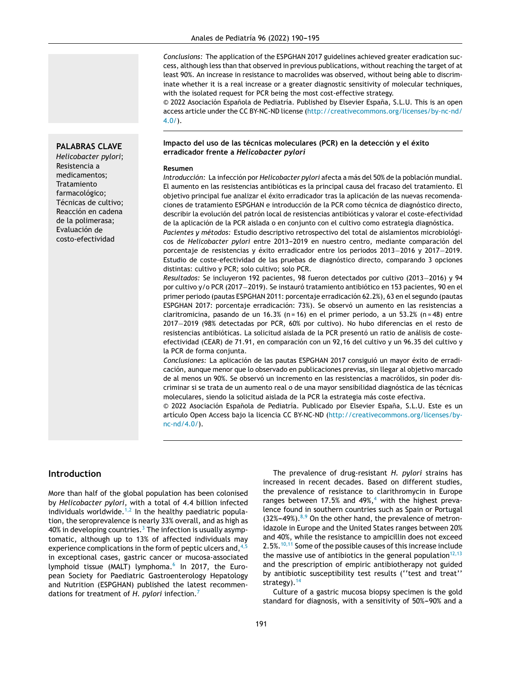*Conclusions:* The application of the ESPGHAN 2017 guidelines achieved greater eradication success, although less than that observed in previous publications, without reaching the target of at least 90%. An increase in resistance to macrolides was observed, without being able to discriminate whether it is a real increase or a greater diagnostic sensitivity of molecular techniques, with the isolated request for PCR being the most cost-effective strategy.

© 2022 Asociación Española de Pediatría. Published by Elsevier España, S.L.U. This is an open access article under the CC BY-NC-ND license ([http://creativecommons.org/licenses/by-nc-nd/](http://creativecommons.org/licenses/by-nc-nd/4.0/)  $4.0/$ ).

### **Impacto del uso de las técnicas moleculares (PCR) en la detección y el éxito erradicador frente a** *Helicobacter pylori*

#### **Resumen**

*Introducción:* La infección por *Helicobacter pylori* afecta a más del 50% de la población mundial. El aumento en las resistencias antibióticas es la principal causa del fracaso del tratamiento. El objetivo principal fue analizar el éxito erradicador tras la aplicación de las nuevas recomendaciones de tratamiento ESPGHAN e introducción de la PCR como técnica de diagnóstico directo, describir la evolución del patrón local de resistencias antibióticas y valorar el coste-efectividad de la aplicación de la PCR aislada o en conjunto con el cultivo como estrategia diagnóstica.

*Pacientes y métodos:* Estudio descriptivo retrospectivo del total de aislamientos microbiológicos de *Helicobacter pylori* entre 2013-2019 en nuestro centro, mediante comparación del porcentaje de resistencias y éxito erradicador entre los periodos 2013−2016 y 2017−2019. Estudio de coste-efectividad de las pruebas de diagnóstico directo, comparando 3 opciones distintas: cultivo y PCR; solo cultivo; solo PCR.

*Resultados:* Se incluyeron 192 pacientes, 98 fueron detectados por cultivo (2013−2016) y 94 por cultivo y/o PCR (2017−2019). Se instauró tratamiento antibiótico en 153 pacientes, 90 en el primer periodo (pautas ESPGHAN 2011: porcentaje erradicación 62.2%), 63 en el segundo (pautas ESPGHAN 2017: porcentaje erradicación: 73%). Se observó un aumento en las resistencias a claritromicina, pasando de un 16.3% (n = 16) en el primer periodo, a un 53.2% (n = 48) entre 2017−2019 (98% detectadas por PCR, 60% por cultivo). No hubo diferencias en el resto de resistencias antibióticas. La solicitud aislada de la PCR presentó un ratio de análisis de costeefectividad (CEAR) de 71.91, en comparación con un 92,16 del cultivo y un 96.35 del cultivo y la PCR de forma conjunta.

*Conclusiones:* La aplicación de las pautas ESPGHAN 2017 consiguió un mayor éxito de erradicación, aunque menor que lo observado en publicaciones previas, sin llegar al objetivo marcado de al menos un 90%. Se observó un incremento en las resistencias a macrólidos, sin poder discriminar si se trata de un aumento real o de una mayor sensibilidad diagnóstica de las técnicas moleculares, siendo la solicitud aislada de la PCR la estrategia más coste efectiva.

 $© 2022 Asociación Española de Pediatría. Publicado por Elsevier España, S.L.U. Este es un$ artículo Open Access bajo la licencia CC BY-NC-ND [\(http://creativecommons.org/licenses/by](http://creativecommons.org/licenses/by-nc-nd/4.0/)[nc-nd/4.0/](http://creativecommons.org/licenses/by-nc-nd/4.0/)).

# **Introduction**

More than half of the global population has been colonised by *Helicobacter pylori*, with a total of 4.4 billion infected individuals worldwide. $1,2$  In the healthy paediatric population, the seroprevalence is nearly 33% overall, and as high as 40% in developing countries.<sup>3</sup> [T](#page-5-0)he infection is usually asymptomatic, although up to 13% of affected individuals may experience complications in the form of peptic ulcers and,  $4.5$ in exceptional cases, gastric cancer or mucosa-associated lymphoid tissue (MALT) lymphoma.<sup>[6](#page-5-0)</sup> In 2017, the European Society for Paediatric Gastroenterology Hepatology and Nutrition (ESPGHAN) published the latest recommendations for treatment of *H. pylori* infection.[7](#page-5-0)

The prevalence of drug-resistant *H. pylori* strains has increased in recent decades. Based on different studies, the prevalence of resistance to clarithromycin in Europe ranges between 17.5% and  $49\%,^4$  $49\%,^4$  with the highest prevalence found in southern countries such as Spain or Portugal  $(32\% - 49\%)$ .<sup>[8,9](#page-5-0)</sup> On the other hand, the prevalence of metronidazole in Europe and the United States ranges between 20% and 40%, while the resistance to ampicillin does not exceed 2.5%. $10,11$  Some of the possible causes of this increase include the massive use of antibiotics in the general population $12,13$ and the prescription of empiric antibiotherapy not guided by antibiotic susceptibility test results (''test and treat'' strategy).<sup>[14](#page-5-0)</sup>

Culture of a gastric mucosa biopsy specimen is the gold standard for diagnosis, with a sensitivity of 50%-90% and a

#### **PALABRAS CLAVE**

*Helicobacter pylori*; Resistencia a medicamentos; Tratamiento farmacológico; Técnicas de cultivo; Reacción en cadena de la polimerasa; Evaluación de costo-efectividad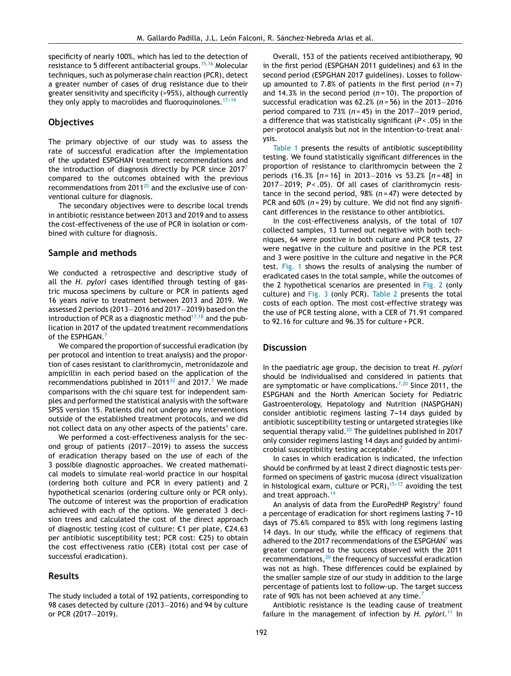specificity of nearly 100%, which has led to the detection of resistance to 5 different antibacterial groups.<sup>[15,16](#page-5-0)</sup> Molecular techniques, such as polymerase chain reaction (PCR), detect a greater number of cases of drug resistance due to their greater sensitivity and specificity (>95%), although currently they only apply to macrolides and fluoroquinolones.<sup>17-19</sup>

# **Objectives**

The primary objective of our study was to assess the rate of successful eradication after the implementation of the updated ESPGHAN treatment recommendations and the introduction of diagnosis directly by PCR since 201[7](#page-5-0)<sup>7</sup> compared to the outcomes obtained with the previous recommendations from  $2011^{20}$  $2011^{20}$  and the exclusive use of conventional culture for diagnosis.

The secondary objectives were to describe local trends in antibiotic resistance between 2013 and 2019 and to assess the cost-effectiveness of the use of PCR in isolation or combined with culture for diagnosis.

### **Sample and methods**

We conducted a retrospective and descriptive study of all the *H. pylori* cases identified through testing of gastric mucosa specimens by culture or PCR in patients aged 16 years *naïve* to treatment between 2013 and 2019. We assessed 2 periods (2013−2016 and 2017−2019) based on the introduction of PCR as a diagnostic method $17,18$  and the publication in 2017 of the updated treatment recommendations of the ESPHGAN.<sup>[7](#page-5-0)</sup>

We compared the proportion of successful eradication (by per protocol and intention to treat analysis) and the proportion of cases resistant to clarithromycin, metronidazole and ampicillin in each period based on the application of the recommendations published in [20](#page-5-0)11 $^{20}$  and 201[7](#page-5-0).<sup>7</sup> We made comparisons with the chi square test for independent samples and performed the statistical analysis with the software SPSS version 15. Patients did not undergo any interventions outside of the established treatment protocols, and we did not collect data on any other aspects of the patients' care.

We performed a cost-effectiveness analysis for the second group of patients (2017−2019) to assess the success of eradication therapy based on the use of each of the 3 possible diagnostic approaches. We created mathematical models to simulate real-world practice in our hospital (ordering both culture and PCR in every patient) and 2 hypothetical scenarios (ordering culture only or PCR only). The outcome of interest was the proportion of eradication achieved with each of the options. We generated 3 decision trees and calculated the cost of the direct approach of diagnostic testing (cost of culture:  $E1$  per plate,  $E24.63$ per antibiotic susceptibility test; PCR cost:  $E25$ ) to obtain the cost effectiveness ratio (CER) (total cost per case of successful eradication).

# **Results**

The study included a total of 192 patients, corresponding to 98 cases detected by culture (2013–2016) and 94 by culture or PCR (2017−2019).

Overall, 153 of the patients received antibiotherapy, 90 in the first period (ESPGHAN 2011 guidelines) and 63 in the second period (ESPGHAN 2017 guidelines). Losses to followup amounted to 7.8% of patients in the first period (*n* = 7) and 14.3% in the second period ( $n = 10$ ). The proportion of successful eradication was 62.2% (*n =* 56) in the 2013−2016 period compared to 73% (*n* = 45) in the 2017–2019 period, a difference that was statistically significant (*P <* .05) in the per-protocol analysis but not in the intention-to-treat analysis.

[Table](#page-3-0) 1 presents the results of antibiotic susceptibility testing. We found statistically significant differences in the proportion of resistance to clarithromycin between the 2 periods (16.3% [*n =* 16] in 2013−2016 vs 53.2% [*n =* 48] in 2017-2019; *P* < .05). Of all cases of clarithromycin resistance in the second period, 98% (*n =* 47) were detected by PCR and 60% (n = 29) by culture. We did not find any significant differences in the resistance to other antibiotics.

In the cost-effectiveness analysis, of the total of 107 collected samples, 13 turned out negative with both techniques, 64 were positive in both culture and PCR tests, 27 were negative in the culture and positive in the PCR test and 3 were positive in the culture and negative in the PCR test. [Fig.](#page-3-0) 1 shows the results of analysing the number of eradicated cases in the total sample, while the outcomes of the 2 hypothetical scenarios are presented in [Fig.](#page-4-0) 2 (only culture) and [Fig.](#page-4-0) 3 (only PCR). [Table](#page-3-0) 2 presents the total costs of each option. The most cost-effective strategy was the use of PCR testing alone, with a CER of 71.91 compared to 92.16 for culture and 96.35 for culture + PCR.

## **Discussion**

In the paediatric age group, the decision to treat *H. pylori* should be individualised and considered in patients that are symptomatic or have complications.<sup>[7,20](#page-5-0)</sup> Since 2011, the ESPGHAN and the North American Society for Pediatric Gastroenterology, Hepatology and Nutrition (NASPGHAN) consider antibiotic regimens lasting 7-14 days guided by antibiotic susceptibility testing or untargeted strategies like sequential therapy valid. $20$  The guidelines published in 2017 only consider regimens lasting 14 days and guided by antimi-crobial susceptibility testing acceptable.<sup>[7](#page-5-0)</sup>

In cases in which eradication is indicated, the infection should be confirmed by at least 2 direct diagnostic tests performed on specimens of gastric mucosa (direct visualization in histological exam, culture or PCR), $15-17$  avoiding the test and treat approach.<sup>[14](#page-5-0)</sup>

An analysis of data from the EuroPedHP Registry<sup>[4](#page-5-0)</sup> found a percentage of eradication for short regimens lasting 7-10 days of 75.6% compared to 85% with long regimens lasting 14 days. In our study, while the efficacy of regimens that adhered to the 2017 recommendations of the ESPGHAN<sup>7</sup> [w](#page-5-0)as greater compared to the success observed with the 2011 recommendations, $20$  the frequency of successful eradication was not as high. These differences could be explained by the smaller sample size of our study in addition to the large percentage of patients lost to follow-up. The target success rate of 90% has not been achieved at any time.<sup>[7](#page-5-0)</sup>

Antibiotic resistance is the leading cause of treatment failure in the management of infection by *H. pylori.*[11](#page-5-0) In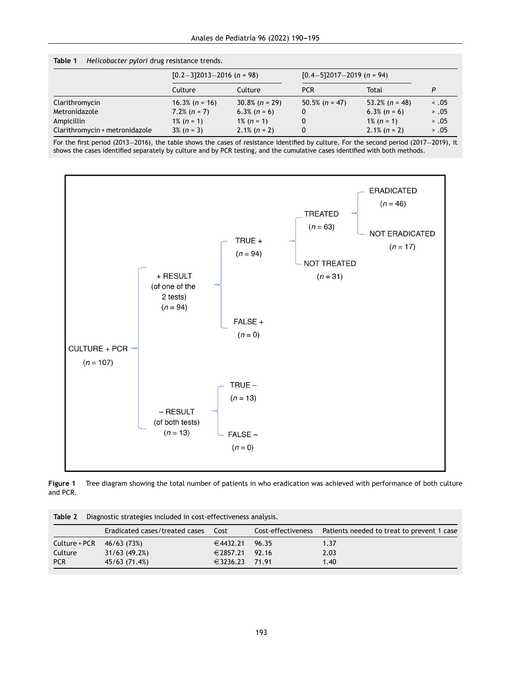<span id="page-3-0"></span>

| Table 1 | Helicobacter pylori drug resistance trends. |  |  |  |  |
|---------|---------------------------------------------|--|--|--|--|
|---------|---------------------------------------------|--|--|--|--|

|                                | $[0.2-3]2013-2016$ (n = 98) |                   | $[0.4-5]2017-2019$ (n = 94) |                  |            |
|--------------------------------|-----------------------------|-------------------|-----------------------------|------------------|------------|
|                                | Culture                     | Culture           | <b>PCR</b>                  | Total            | P          |
| Clarithromycin                 | $16.3\%$ (n = 16)           | $30.8\%$ (n = 29) | $50.5\%$ (n = 47)           | 53.2% $(n = 48)$ | $\leq .05$ |
| Metronidazole                  | $7.2\%$ (n = 7)             | $6.3\%$ (n = 6)   | 0                           | $6.3\%$ (n = 6)  | > .05      |
| Ampicillin                     | $1\%$ (n = 1)               | $1\%$ (n = 1)     | 0                           | $1\%$ (n = 1)    | > .05      |
| Clarithromycin + metronidazole | $3\%$ (n = 3)               | $2.1\%$ (n = 2)   | 0                           | $2.1\%$ (n = 2)  | > .05      |

For the first period (2013−2016), the table shows the cases of resistance identified by culture. For the second period (2017−2019), it shows the cases identified separately by culture and by PCR testing, and the cumulative cases identified with both methods.



**Figure 1** Tree diagram showing the total number of patients in who eradication was achieved with performance of both culture and PCR.

| Diagnostic strategies included in cost-effectiveness analysis.<br>Table 2 |                                |          |                    |                                            |  |  |  |
|---------------------------------------------------------------------------|--------------------------------|----------|--------------------|--------------------------------------------|--|--|--|
|                                                                           | Eradicated cases/treated cases | Cost     | Cost-effectiveness | Patients needed to treat to prevent 1 case |  |  |  |
| Culture + PCR                                                             | 46/63 (73%)                    | €4432.21 | 96.35              | 1.37                                       |  |  |  |
| Culture                                                                   | 31/63(49.2%)                   | €2857.21 | 92.16              | 2.03                                       |  |  |  |
| <b>PCR</b>                                                                | 45/63 (71.4%)                  | €3236.23 | 71.91              | 1.40                                       |  |  |  |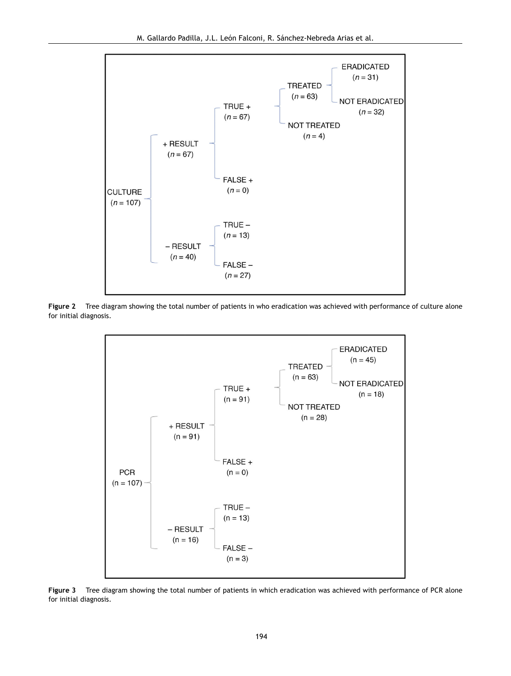<span id="page-4-0"></span>

**Figure 2** Tree diagram showing the total number of patients in who eradication was achieved with performance of culture alone for initial diagnosis.



**Figure 3** Tree diagram showing the total number of patients in which eradication was achieved with performance of PCR alone for initial diagnosis.